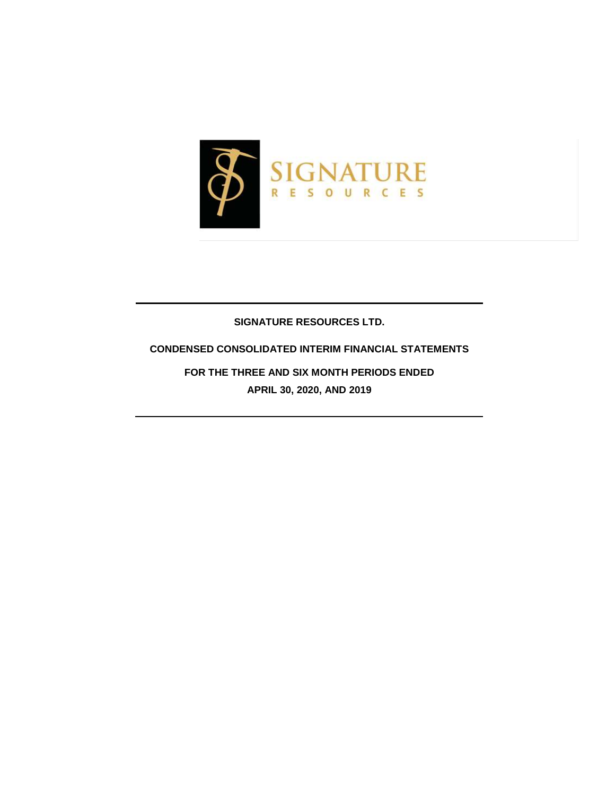

## **SIGNATURE RESOURCES LTD.**

## **CONDENSED CONSOLIDATED INTERIM FINANCIAL STATEMENTS**

**FOR THE THREE AND SIX MONTH PERIODS ENDED APRIL 30, 2020, AND 2019**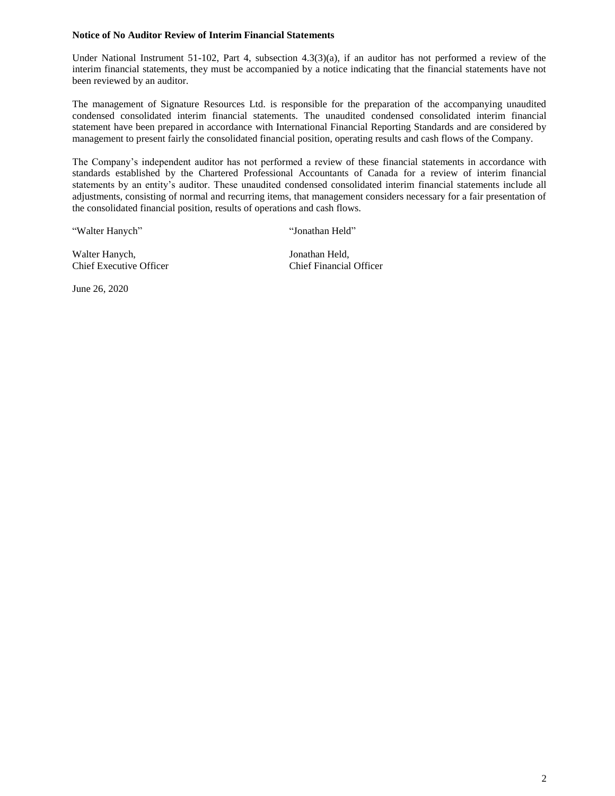#### **Notice of No Auditor Review of Interim Financial Statements**

Under National Instrument 51-102, Part 4, subsection 4.3(3)(a), if an auditor has not performed a review of the interim financial statements, they must be accompanied by a notice indicating that the financial statements have not been reviewed by an auditor.

The management of Signature Resources Ltd. is responsible for the preparation of the accompanying unaudited condensed consolidated interim financial statements. The unaudited condensed consolidated interim financial statement have been prepared in accordance with International Financial Reporting Standards and are considered by management to present fairly the consolidated financial position, operating results and cash flows of the Company.

The Company's independent auditor has not performed a review of these financial statements in accordance with standards established by the Chartered Professional Accountants of Canada for a review of interim financial statements by an entity's auditor. These unaudited condensed consolidated interim financial statements include all adjustments, consisting of normal and recurring items, that management considers necessary for a fair presentation of the consolidated financial position, results of operations and cash flows.

"Walter Hanych" "Jonathan Held"

Walter Hanych, Jonathan Held, Chief Executive Officer Chief Financial Officer

June 26, 2020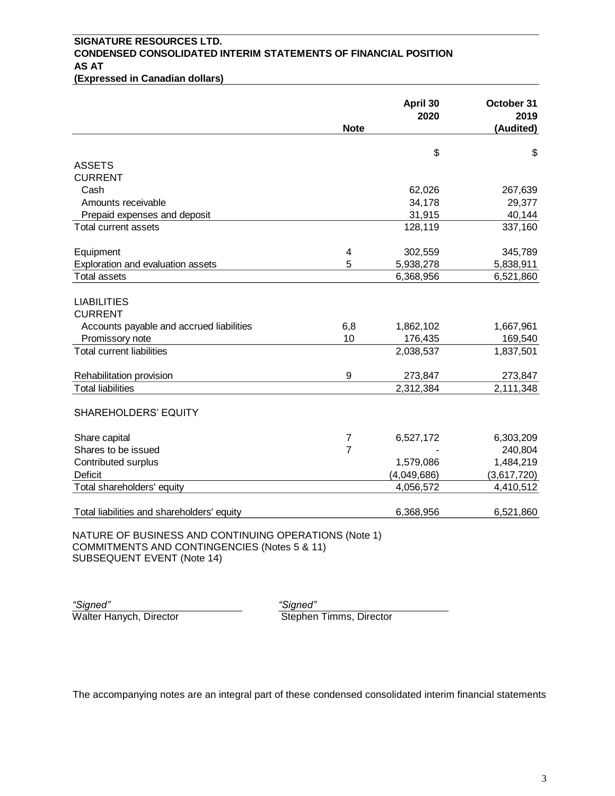## **SIGNATURE RESOURCES LTD. CONDENSED CONSOLIDATED INTERIM STATEMENTS OF FINANCIAL POSITION AS AT**

**(Expressed in Canadian dollars)**

|                                                                                                                                     |                | April 30<br>2020 | October 31<br>2019 |
|-------------------------------------------------------------------------------------------------------------------------------------|----------------|------------------|--------------------|
|                                                                                                                                     | <b>Note</b>    |                  | (Audited)          |
|                                                                                                                                     |                | \$               | \$                 |
| <b>ASSETS</b>                                                                                                                       |                |                  |                    |
| <b>CURRENT</b>                                                                                                                      |                |                  |                    |
| Cash                                                                                                                                |                | 62,026           | 267,639            |
| Amounts receivable                                                                                                                  |                | 34,178           | 29,377             |
| Prepaid expenses and deposit                                                                                                        |                | 31,915           | 40,144             |
| Total current assets                                                                                                                |                | 128,119          | 337,160            |
| Equipment                                                                                                                           | 4              | 302,559          | 345,789            |
| Exploration and evaluation assets                                                                                                   | 5              | 5,938,278        | 5,838,911          |
| <b>Total assets</b>                                                                                                                 |                | 6,368,956        | 6,521,860          |
| <b>LIABILITIES</b>                                                                                                                  |                |                  |                    |
| <b>CURRENT</b>                                                                                                                      |                |                  |                    |
| Accounts payable and accrued liabilities                                                                                            | 6,8            | 1,862,102        | 1,667,961          |
| Promissory note                                                                                                                     | 10             | 176,435          | 169,540            |
| <b>Total current liabilities</b>                                                                                                    |                | 2,038,537        | 1,837,501          |
| Rehabilitation provision                                                                                                            | 9              | 273,847          | 273,847            |
| <b>Total liabilities</b>                                                                                                            |                | 2,312,384        | 2,111,348          |
| SHAREHOLDERS' EQUITY                                                                                                                |                |                  |                    |
| Share capital                                                                                                                       | $\overline{7}$ | 6,527,172        | 6,303,209          |
| Shares to be issued                                                                                                                 | $\overline{7}$ |                  | 240,804            |
| Contributed surplus                                                                                                                 |                | 1,579,086        | 1,484,219          |
| <b>Deficit</b>                                                                                                                      |                | (4,049,686)      | (3,617,720)        |
| Total shareholders' equity                                                                                                          |                | 4,056,572        | 4,410,512          |
| Total liabilities and shareholders' equity                                                                                          |                | 6,368,956        | 6,521,860          |
| NATURE OF BUSINESS AND CONTINUING OPERATIONS (Note 1)<br>COMMITMENTS AND CONTINGENCIES (Notes 5 & 11)<br>SUBSEQUENT EVENT (Note 14) |                |                  |                    |

Walter Hanych, Director

*"Signed" "Signed"*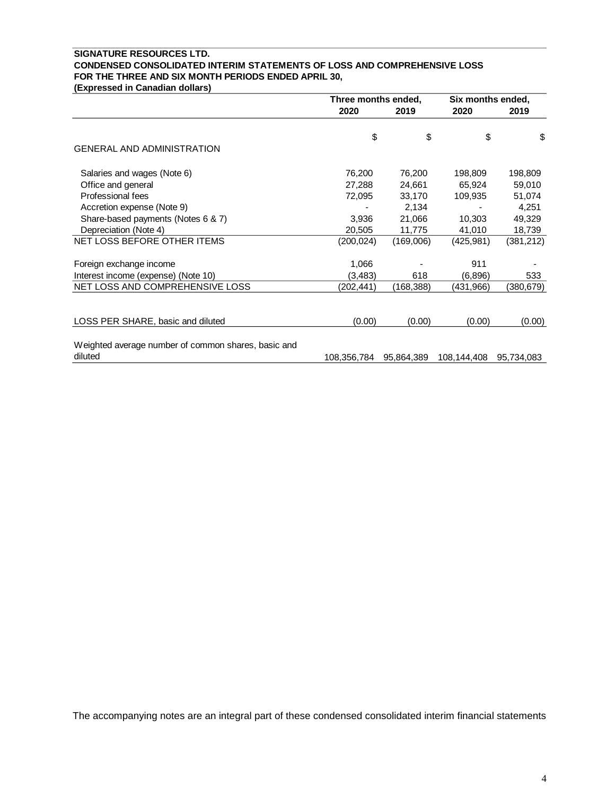#### **SIGNATURE RESOURCES LTD. CONDENSED CONSOLIDATED INTERIM STATEMENTS OF LOSS AND COMPREHENSIVE LOSS FOR THE THREE AND SIX MONTH PERIODS ENDED APRIL 30,**

**(Expressed in Canadian dollars)**

|                                                     | Three months ended, |            | Six months ended, |            |
|-----------------------------------------------------|---------------------|------------|-------------------|------------|
|                                                     | 2020                | 2019       | 2020              | 2019       |
|                                                     | \$                  | \$         | \$                | \$         |
| <b>GENERAL AND ADMINISTRATION</b>                   |                     |            |                   |            |
| Salaries and wages (Note 6)                         | 76,200              | 76,200     | 198,809           | 198,809    |
| Office and general                                  | 27,288              | 24,661     | 65,924            | 59,010     |
| Professional fees                                   | 72,095              | 33,170     | 109,935           | 51,074     |
| Accretion expense (Note 9)                          |                     | 2,134      |                   | 4,251      |
| Share-based payments (Notes 6 & 7)                  | 3,936               | 21,066     | 10,303            | 49,329     |
| Depreciation (Note 4)                               | 20,505              | 11,775     | 41,010            | 18,739     |
| NET LOSS BEFORE OTHER ITEMS                         | (200, 024)          | (169,006)  | (425, 981)        | (381, 212) |
| Foreign exchange income                             | 1,066               |            | 911               |            |
| Interest income (expense) (Note 10)                 | (3, 483)            | 618        | (6,896)           | 533        |
| NET LOSS AND COMPREHENSIVE LOSS                     | (202, 441)          | (168,388)  | (431,966)         | (380, 679) |
|                                                     |                     |            |                   |            |
| LOSS PER SHARE, basic and diluted                   | (0.00)              | (0.00)     | (0.00)            | (0.00)     |
| Weighted average number of common shares, basic and |                     |            |                   |            |
| diluted                                             | 108,356,784         | 95,864,389 | 108,144,408       | 95,734,083 |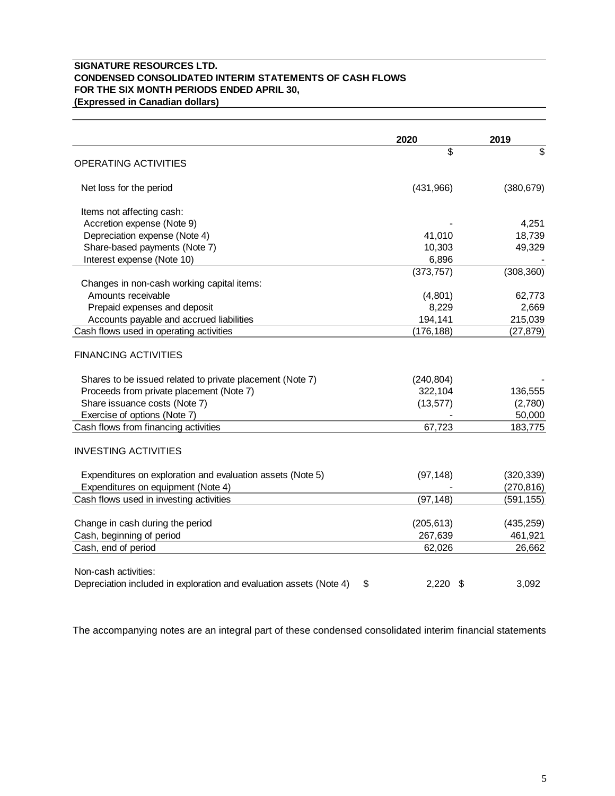#### **SIGNATURE RESOURCES LTD. CONDENSED CONSOLIDATED INTERIM STATEMENTS OF CASH FLOWS FOR THE SIX MONTH PERIODS ENDED APRIL 30, (Expressed in Canadian dollars)**

|                                                                           | 2020       | 2019       |
|---------------------------------------------------------------------------|------------|------------|
|                                                                           | \$         | \$         |
| <b>OPERATING ACTIVITIES</b>                                               |            |            |
| Net loss for the period                                                   | (431,966)  | (380, 679) |
| Items not affecting cash:                                                 |            |            |
| Accretion expense (Note 9)                                                |            | 4,251      |
| Depreciation expense (Note 4)                                             | 41,010     | 18,739     |
| Share-based payments (Note 7)                                             | 10,303     | 49,329     |
| Interest expense (Note 10)                                                | 6,896      |            |
|                                                                           | (373, 757) | (308, 360) |
| Changes in non-cash working capital items:                                |            |            |
| Amounts receivable                                                        | (4,801)    | 62,773     |
| Prepaid expenses and deposit                                              | 8,229      | 2,669      |
| Accounts payable and accrued liabilities                                  | 194,141    | 215,039    |
| Cash flows used in operating activities                                   | (176, 188) | (27, 879)  |
| <b>FINANCING ACTIVITIES</b>                                               |            |            |
| Shares to be issued related to private placement (Note 7)                 | (240, 804) |            |
| Proceeds from private placement (Note 7)                                  | 322,104    | 136,555    |
| Share issuance costs (Note 7)                                             | (13, 577)  | (2,780)    |
| Exercise of options (Note 7)                                              |            | 50,000     |
| Cash flows from financing activities                                      | 67,723     | 183,775    |
| <b>INVESTING ACTIVITIES</b>                                               |            |            |
| Expenditures on exploration and evaluation assets (Note 5)                | (97, 148)  | (320, 339) |
| Expenditures on equipment (Note 4)                                        |            | (270, 816) |
| Cash flows used in investing activities                                   | (97, 148)  | (591, 155) |
|                                                                           |            |            |
| Change in cash during the period                                          | (205, 613) | (435, 259) |
| Cash, beginning of period                                                 | 267,639    | 461,921    |
| Cash, end of period                                                       | 62,026     | 26,662     |
| Non-cash activities:                                                      |            |            |
| Depreciation included in exploration and evaluation assets (Note 4)<br>\$ | $2,220$ \$ | 3,092      |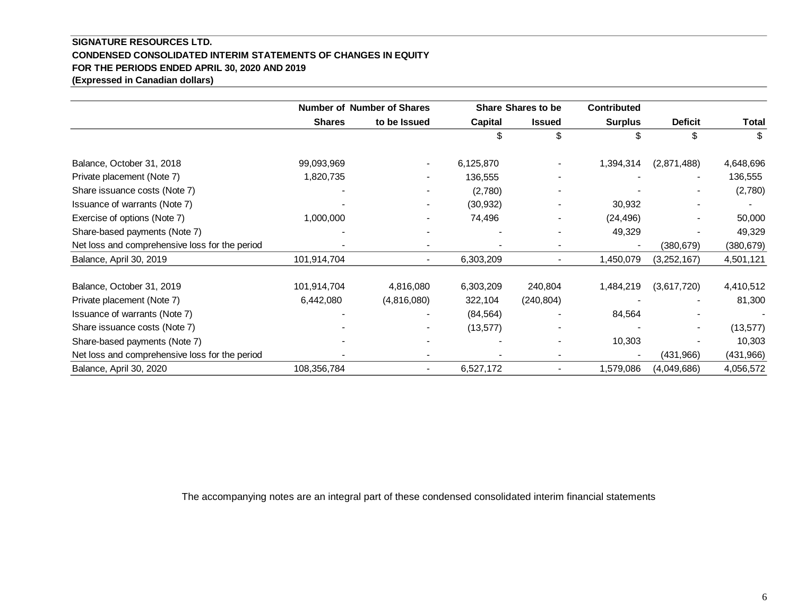### **SIGNATURE RESOURCES LTD. CONDENSED CONSOLIDATED INTERIM STATEMENTS OF CHANGES IN EQUITY FOR THE PERIODS ENDED APRIL 30, 2020 AND 2019 (Expressed in Canadian dollars)**

|                                                | <b>Number of Number of Shares</b> |                          |           | <b>Share Shares to be</b> | <b>Contributed</b> |                |              |
|------------------------------------------------|-----------------------------------|--------------------------|-----------|---------------------------|--------------------|----------------|--------------|
|                                                | <b>Shares</b>                     | to be Issued             | Capital   | <b>Issued</b>             | <b>Surplus</b>     | <b>Deficit</b> | <b>Total</b> |
|                                                |                                   |                          | S         | \$                        |                    | \$             | \$           |
| Balance, October 31, 2018                      | 99,093,969                        |                          | 6,125,870 |                           | 1,394,314          | (2,871,488)    | 4,648,696    |
| Private placement (Note 7)                     | 1,820,735                         | $\blacksquare$           | 136,555   |                           |                    | $\blacksquare$ | 136,555      |
| Share issuance costs (Note 7)                  |                                   | $\overline{\phantom{a}}$ | (2,780)   |                           |                    |                | (2,780)      |
| Issuance of warrants (Note 7)                  |                                   | ۰                        | (30, 932) |                           | 30,932             |                |              |
| Exercise of options (Note 7)                   | 1,000,000                         | ۰                        | 74,496    |                           | (24, 496)          |                | 50,000       |
| Share-based payments (Note 7)                  |                                   |                          |           |                           | 49,329             |                | 49,329       |
| Net loss and comprehensive loss for the period |                                   |                          |           |                           |                    | (380, 679)     | (380, 679)   |
| Balance, April 30, 2019                        | 101,914,704                       | $\blacksquare$           | 6,303,209 |                           | 1,450,079          | (3,252,167)    | 4,501,121    |
| Balance, October 31, 2019                      | 101,914,704                       | 4,816,080                | 6,303,209 | 240,804                   | 1,484,219          | (3,617,720)    | 4,410,512    |
| Private placement (Note 7)                     | 6,442,080                         | (4,816,080)              | 322,104   | (240, 804)                |                    |                | 81,300       |
| Issuance of warrants (Note 7)                  |                                   |                          | (84, 564) |                           | 84,564             |                |              |
| Share issuance costs (Note 7)                  |                                   |                          | (13, 577) |                           |                    |                | (13, 577)    |
| Share-based payments (Note 7)                  |                                   |                          |           |                           | 10,303             |                | 10,303       |
| Net loss and comprehensive loss for the period |                                   |                          |           |                           |                    | (431, 966)     | (431,966)    |
| Balance, April 30, 2020                        | 108,356,784                       | $\blacksquare$           | 6,527,172 |                           | 1,579,086          | (4,049,686)    | 4,056,572    |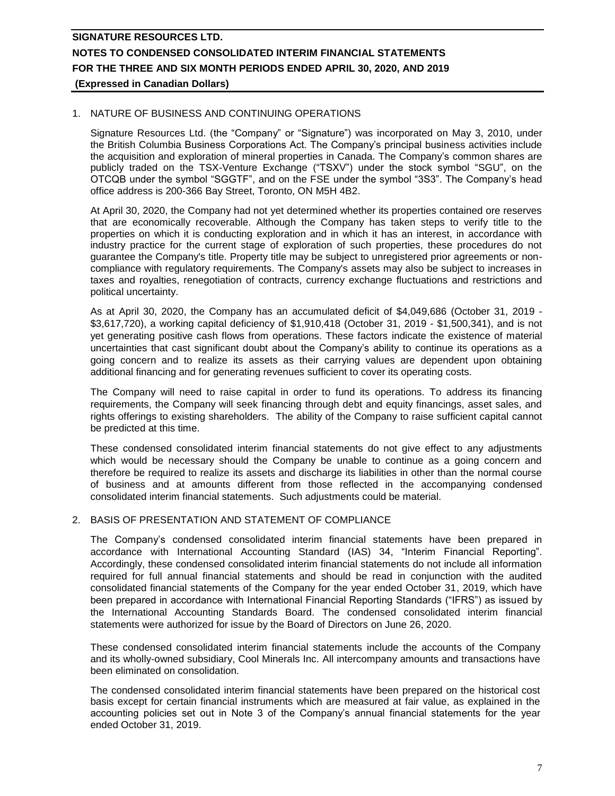#### 1. NATURE OF BUSINESS AND CONTINUING OPERATIONS

Signature Resources Ltd. (the "Company" or "Signature") was incorporated on May 3, 2010, under the British Columbia Business Corporations Act. The Company's principal business activities include the acquisition and exploration of mineral properties in Canada. The Company's common shares are publicly traded on the TSX-Venture Exchange ("TSXV") under the stock symbol "SGU", on the OTCQB under the symbol "SGGTF", and on the FSE under the symbol "3S3". The Company's head office address is 200-366 Bay Street, Toronto, ON M5H 4B2.

At April 30, 2020, the Company had not yet determined whether its properties contained ore reserves that are economically recoverable. Although the Company has taken steps to verify title to the properties on which it is conducting exploration and in which it has an interest, in accordance with industry practice for the current stage of exploration of such properties, these procedures do not guarantee the Company's title. Property title may be subject to unregistered prior agreements or noncompliance with regulatory requirements. The Company's assets may also be subject to increases in taxes and royalties, renegotiation of contracts, currency exchange fluctuations and restrictions and political uncertainty.

As at April 30, 2020, the Company has an accumulated deficit of \$4,049,686 (October 31, 2019 - \$3,617,720), a working capital deficiency of \$1,910,418 (October 31, 2019 - \$1,500,341), and is not yet generating positive cash flows from operations. These factors indicate the existence of material uncertainties that cast significant doubt about the Company's ability to continue its operations as a going concern and to realize its assets as their carrying values are dependent upon obtaining additional financing and for generating revenues sufficient to cover its operating costs.

The Company will need to raise capital in order to fund its operations. To address its financing requirements, the Company will seek financing through debt and equity financings, asset sales, and rights offerings to existing shareholders. The ability of the Company to raise sufficient capital cannot be predicted at this time.

These condensed consolidated interim financial statements do not give effect to any adjustments which would be necessary should the Company be unable to continue as a going concern and therefore be required to realize its assets and discharge its liabilities in other than the normal course of business and at amounts different from those reflected in the accompanying condensed consolidated interim financial statements. Such adjustments could be material.

#### 2. BASIS OF PRESENTATION AND STATEMENT OF COMPLIANCE

The Company's condensed consolidated interim financial statements have been prepared in accordance with International Accounting Standard (IAS) 34, "Interim Financial Reporting". Accordingly, these condensed consolidated interim financial statements do not include all information required for full annual financial statements and should be read in conjunction with the audited consolidated financial statements of the Company for the year ended October 31, 2019, which have been prepared in accordance with International Financial Reporting Standards ("IFRS") as issued by the International Accounting Standards Board. The condensed consolidated interim financial statements were authorized for issue by the Board of Directors on June 26, 2020.

These condensed consolidated interim financial statements include the accounts of the Company and its wholly-owned subsidiary, Cool Minerals Inc. All intercompany amounts and transactions have been eliminated on consolidation.

The condensed consolidated interim financial statements have been prepared on the historical cost basis except for certain financial instruments which are measured at fair value, as explained in the accounting policies set out in Note 3 of the Company's annual financial statements for the year ended October 31, 2019.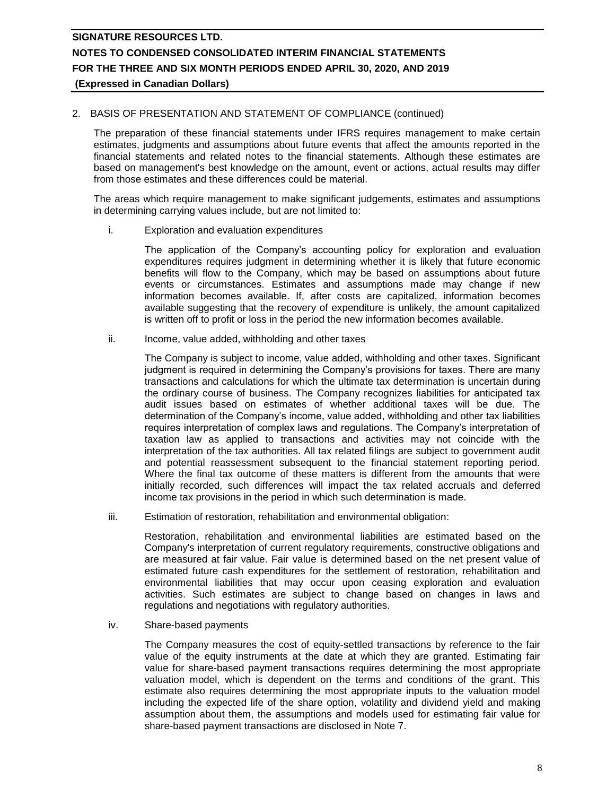#### 2. BASIS OF PRESENTATION AND STATEMENT OF COMPLIANCE (continued)

The preparation of these financial statements under IFRS requires management to make certain estimates, judgments and assumptions about future events that affect the amounts reported in the financial statements and related notes to the financial statements. Although these estimates are based on management's best knowledge on the amount, event or actions, actual results may differ from those estimates and these differences could be material.

The areas which require management to make significant judgements, estimates and assumptions in determining carrying values include, but are not limited to:

i. Exploration and evaluation expenditures

The application of the Company's accounting policy for exploration and evaluation expenditures requires judgment in determining whether it is likely that future economic benefits will flow to the Company, which may be based on assumptions about future events or circumstances. Estimates and assumptions made may change if new information becomes available. If, after costs are capitalized, information becomes available suggesting that the recovery of expenditure is unlikely, the amount capitalized is written off to profit or loss in the period the new information becomes available.

ii. Income, value added, withholding and other taxes

The Company is subject to income, value added, withholding and other taxes. Significant judgment is required in determining the Company's provisions for taxes. There are many transactions and calculations for which the ultimate tax determination is uncertain during the ordinary course of business. The Company recognizes liabilities for anticipated tax audit issues based on estimates of whether additional taxes will be due. The determination of the Company's income, value added, withholding and other tax liabilities requires interpretation of complex laws and regulations. The Company's interpretation of taxation law as applied to transactions and activities may not coincide with the interpretation of the tax authorities. All tax related filings are subject to government audit and potential reassessment subsequent to the financial statement reporting period. Where the final tax outcome of these matters is different from the amounts that were initially recorded, such differences will impact the tax related accruals and deferred income tax provisions in the period in which such determination is made.

iii. Estimation of restoration, rehabilitation and environmental obligation:

Restoration, rehabilitation and environmental liabilities are estimated based on the Company's interpretation of current regulatory requirements, constructive obligations and are measured at fair value. Fair value is determined based on the net present value of estimated future cash expenditures for the settlement of restoration, rehabilitation and environmental liabilities that may occur upon ceasing exploration and evaluation activities. Such estimates are subject to change based on changes in laws and regulations and negotiations with regulatory authorities.

iv. Share-based payments

The Company measures the cost of equity-settled transactions by reference to the fair value of the equity instruments at the date at which they are granted. Estimating fair value for share-based payment transactions requires determining the most appropriate valuation model, which is dependent on the terms and conditions of the grant. This estimate also requires determining the most appropriate inputs to the valuation model including the expected life of the share option, volatility and dividend yield and making assumption about them, the assumptions and models used for estimating fair value for share-based payment transactions are disclosed in Note 7.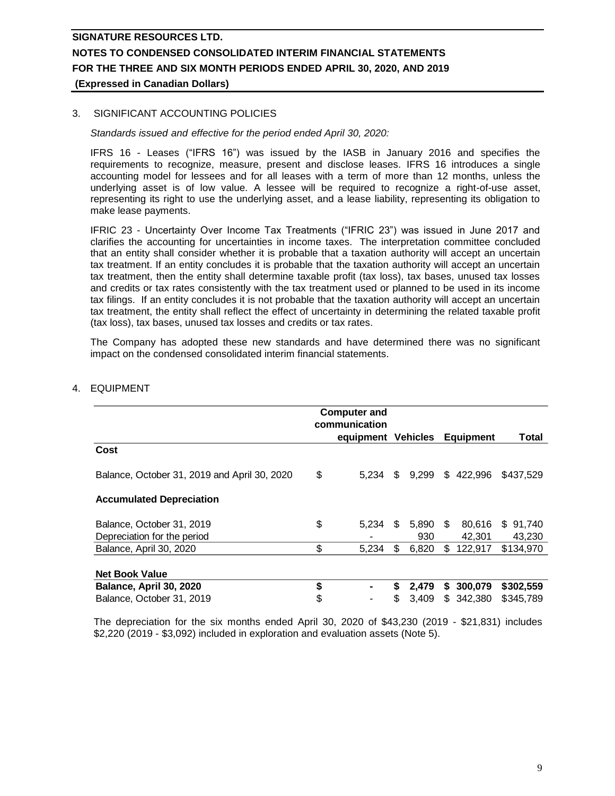#### 3. SIGNIFICANT ACCOUNTING POLICIES

*Standards issued and effective for the period ended April 30, 2020:*

IFRS 16 - Leases ("IFRS 16") was issued by the IASB in January 2016 and specifies the requirements to recognize, measure, present and disclose leases. IFRS 16 introduces a single accounting model for lessees and for all leases with a term of more than 12 months, unless the underlying asset is of low value. A lessee will be required to recognize a right-of-use asset, representing its right to use the underlying asset, and a lease liability, representing its obligation to make lease payments.

IFRIC 23 - Uncertainty Over Income Tax Treatments ("IFRIC 23") was issued in June 2017 and clarifies the accounting for uncertainties in income taxes. The interpretation committee concluded that an entity shall consider whether it is probable that a taxation authority will accept an uncertain tax treatment. If an entity concludes it is probable that the taxation authority will accept an uncertain tax treatment, then the entity shall determine taxable profit (tax loss), tax bases, unused tax losses and credits or tax rates consistently with the tax treatment used or planned to be used in its income tax filings. If an entity concludes it is not probable that the taxation authority will accept an uncertain tax treatment, the entity shall reflect the effect of uncertainty in determining the related taxable profit (tax loss), tax bases, unused tax losses and credits or tax rates.

The Company has adopted these new standards and have determined there was no significant impact on the condensed consolidated interim financial statements.

|                                              | <b>Computer and</b> |    |       |     |                  |           |
|----------------------------------------------|---------------------|----|-------|-----|------------------|-----------|
|                                              | communication       |    |       |     |                  |           |
|                                              | equipment Vehicles  |    |       |     | <b>Equipment</b> | Total     |
| Cost                                         |                     |    |       |     |                  |           |
| Balance, October 31, 2019 and April 30, 2020 | \$<br>5.234         | \$ | 9.299 |     | \$422,996        | \$437.529 |
| <b>Accumulated Depreciation</b>              |                     |    |       |     |                  |           |
| Balance, October 31, 2019                    | \$<br>5.234         | \$ | 5,890 | \$. | 80.616           | \$91,740  |
| Depreciation for the period                  |                     |    | 930   |     | 42.301           | 43.230    |
| Balance, April 30, 2020                      | \$<br>5,234         | \$ | 6,820 | \$  | 122,917          | \$134,970 |
|                                              |                     |    |       |     |                  |           |
| <b>Net Book Value</b>                        |                     |    |       |     |                  |           |
| Balance, April 30, 2020                      | \$                  | S  | 2.479 | S.  | 300,079          | \$302,559 |
| Balance, October 31, 2019                    | \$                  | S  | 3.409 |     | \$342,380        | \$345,789 |

#### 4. EQUIPMENT

The depreciation for the six months ended April 30, 2020 of \$43,230 (2019 - \$21,831) includes \$2,220 (2019 - \$3,092) included in exploration and evaluation assets (Note 5).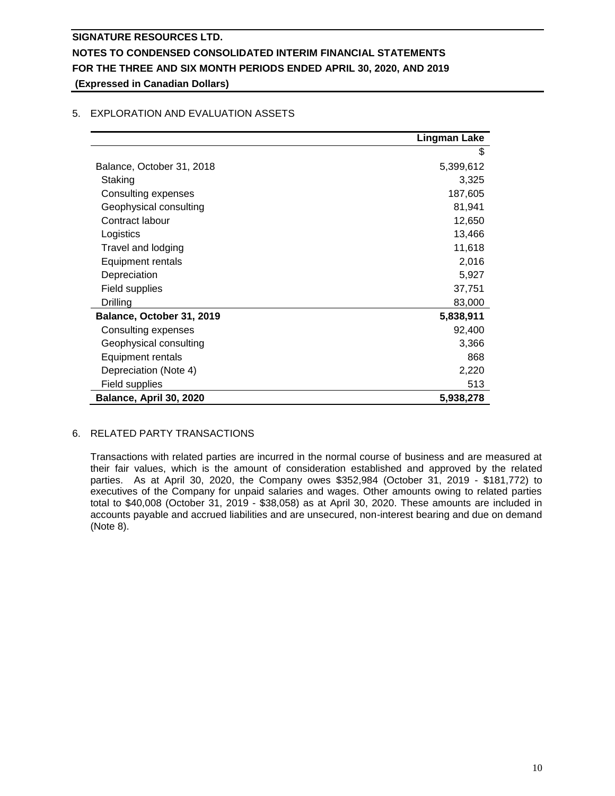|                           | <b>Lingman Lake</b> |
|---------------------------|---------------------|
|                           | \$                  |
| Balance, October 31, 2018 | 5,399,612           |
| Staking                   | 3,325               |
| Consulting expenses       | 187,605             |
| Geophysical consulting    | 81,941              |
| Contract labour           | 12,650              |
| Logistics                 | 13,466              |
| Travel and lodging        | 11,618              |
| <b>Equipment rentals</b>  | 2,016               |
| Depreciation              | 5,927               |
| Field supplies            | 37,751              |
| <b>Drilling</b>           | 83,000              |
| Balance, October 31, 2019 | 5,838,911           |
| Consulting expenses       | 92,400              |
| Geophysical consulting    | 3,366               |
| Equipment rentals         | 868                 |
| Depreciation (Note 4)     | 2,220               |
| Field supplies            | 513                 |
| Balance, April 30, 2020   | 5,938,278           |

## 5. EXPLORATION AND EVALUATION ASSETS

## 6. RELATED PARTY TRANSACTIONS

Transactions with related parties are incurred in the normal course of business and are measured at their fair values, which is the amount of consideration established and approved by the related parties. As at April 30, 2020, the Company owes \$352,984 (October 31, 2019 - \$181,772) to executives of the Company for unpaid salaries and wages. Other amounts owing to related parties total to \$40,008 (October 31, 2019 - \$38,058) as at April 30, 2020. These amounts are included in accounts payable and accrued liabilities and are unsecured, non-interest bearing and due on demand (Note 8).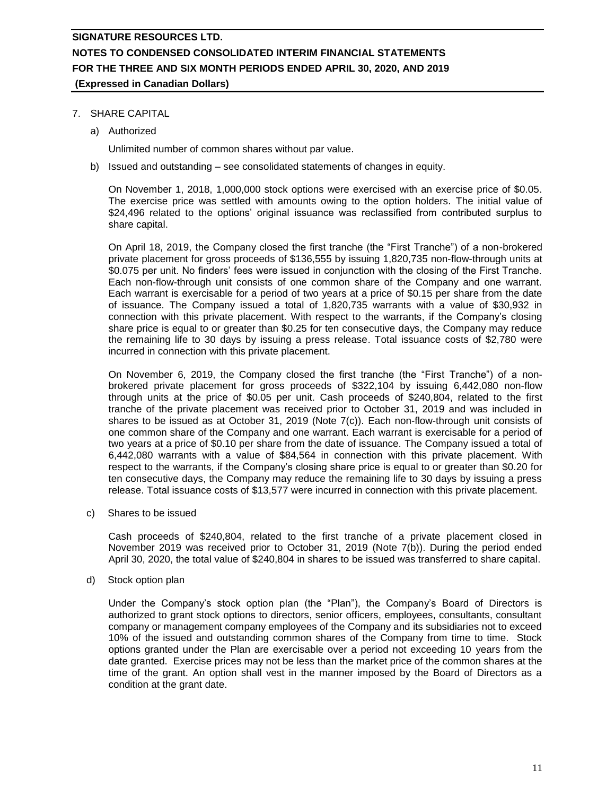#### 7. SHARE CAPITAL

a) Authorized

Unlimited number of common shares without par value.

b) Issued and outstanding – see consolidated statements of changes in equity.

On November 1, 2018, 1,000,000 stock options were exercised with an exercise price of \$0.05. The exercise price was settled with amounts owing to the option holders. The initial value of \$24,496 related to the options' original issuance was reclassified from contributed surplus to share capital.

On April 18, 2019, the Company closed the first tranche (the "First Tranche") of a non-brokered private placement for gross proceeds of \$136,555 by issuing 1,820,735 non-flow-through units at \$0.075 per unit. No finders' fees were issued in conjunction with the closing of the First Tranche. Each non-flow-through unit consists of one common share of the Company and one warrant. Each warrant is exercisable for a period of two years at a price of \$0.15 per share from the date of issuance. The Company issued a total of 1,820,735 warrants with a value of \$30,932 in connection with this private placement. With respect to the warrants, if the Company's closing share price is equal to or greater than \$0.25 for ten consecutive days, the Company may reduce the remaining life to 30 days by issuing a press release. Total issuance costs of \$2,780 were incurred in connection with this private placement.

On November 6, 2019, the Company closed the first tranche (the "First Tranche") of a nonbrokered private placement for gross proceeds of \$322,104 by issuing 6,442,080 non-flow through units at the price of \$0.05 per unit. Cash proceeds of \$240,804, related to the first tranche of the private placement was received prior to October 31, 2019 and was included in shares to be issued as at October 31, 2019 (Note 7(c)). Each non-flow-through unit consists of one common share of the Company and one warrant. Each warrant is exercisable for a period of two years at a price of \$0.10 per share from the date of issuance. The Company issued a total of 6,442,080 warrants with a value of \$84,564 in connection with this private placement. With respect to the warrants, if the Company's closing share price is equal to or greater than \$0.20 for ten consecutive days, the Company may reduce the remaining life to 30 days by issuing a press release. Total issuance costs of \$13,577 were incurred in connection with this private placement.

c) Shares to be issued

Cash proceeds of \$240,804, related to the first tranche of a private placement closed in November 2019 was received prior to October 31, 2019 (Note 7(b)). During the period ended April 30, 2020, the total value of \$240,804 in shares to be issued was transferred to share capital.

d) Stock option plan

Under the Company's stock option plan (the "Plan"), the Company's Board of Directors is authorized to grant stock options to directors, senior officers, employees, consultants, consultant company or management company employees of the Company and its subsidiaries not to exceed 10% of the issued and outstanding common shares of the Company from time to time. Stock options granted under the Plan are exercisable over a period not exceeding 10 years from the date granted. Exercise prices may not be less than the market price of the common shares at the time of the grant. An option shall vest in the manner imposed by the Board of Directors as a condition at the grant date.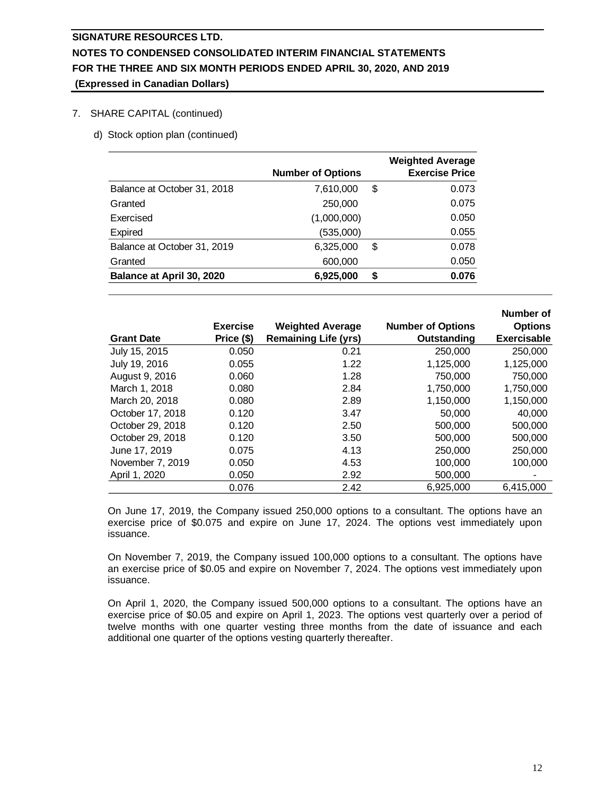#### 7. SHARE CAPITAL (continued)

d) Stock option plan (continued)

|                             | <b>Number of Options</b> |    | <b>Weighted Average</b><br><b>Exercise Price</b> |
|-----------------------------|--------------------------|----|--------------------------------------------------|
| Balance at October 31, 2018 | 7,610,000                | \$ | 0.073                                            |
| Granted                     | 250,000                  |    | 0.075                                            |
| Exercised                   | (1,000,000)              |    | 0.050                                            |
| Expired                     | (535,000)                |    | 0.055                                            |
| Balance at October 31, 2019 | 6,325,000                | \$ | 0.078                                            |
| Granted                     | 600,000                  |    | 0.050                                            |
| Balance at April 30, 2020   | 6,925,000                | S  | 0.076                                            |

|                   |                 |                             |                          | Number of          |
|-------------------|-----------------|-----------------------------|--------------------------|--------------------|
|                   | <b>Exercise</b> | <b>Weighted Average</b>     | <b>Number of Options</b> | <b>Options</b>     |
| <b>Grant Date</b> | Price (\$)      | <b>Remaining Life (yrs)</b> | Outstanding              | <b>Exercisable</b> |
| July 15, 2015     | 0.050           | 0.21                        | 250,000                  | 250,000            |
| July 19, 2016     | 0.055           | 1.22                        | 1,125,000                | 1,125,000          |
| August 9, 2016    | 0.060           | 1.28                        | 750,000                  | 750,000            |
| March 1, 2018     | 0.080           | 2.84                        | 1.750.000                | 1,750,000          |
| March 20, 2018    | 0.080           | 2.89                        | 1.150.000                | 1,150,000          |
| October 17, 2018  | 0.120           | 3.47                        | 50,000                   | 40,000             |
| October 29, 2018  | 0.120           | 2.50                        | 500,000                  | 500,000            |
| October 29, 2018  | 0.120           | 3.50                        | 500,000                  | 500,000            |
| June 17, 2019     | 0.075           | 4.13                        | 250,000                  | 250,000            |
| November 7, 2019  | 0.050           | 4.53                        | 100,000                  | 100,000            |
| April 1, 2020     | 0.050           | 2.92                        | 500,000                  |                    |
|                   | 0.076           | 2.42                        | 6.925.000                | 6,415,000          |

On June 17, 2019, the Company issued 250,000 options to a consultant. The options have an exercise price of \$0.075 and expire on June 17, 2024. The options vest immediately upon issuance.

On November 7, 2019, the Company issued 100,000 options to a consultant. The options have an exercise price of \$0.05 and expire on November 7, 2024. The options vest immediately upon issuance.

On April 1, 2020, the Company issued 500,000 options to a consultant. The options have an exercise price of \$0.05 and expire on April 1, 2023. The options vest quarterly over a period of twelve months with one quarter vesting three months from the date of issuance and each additional one quarter of the options vesting quarterly thereafter.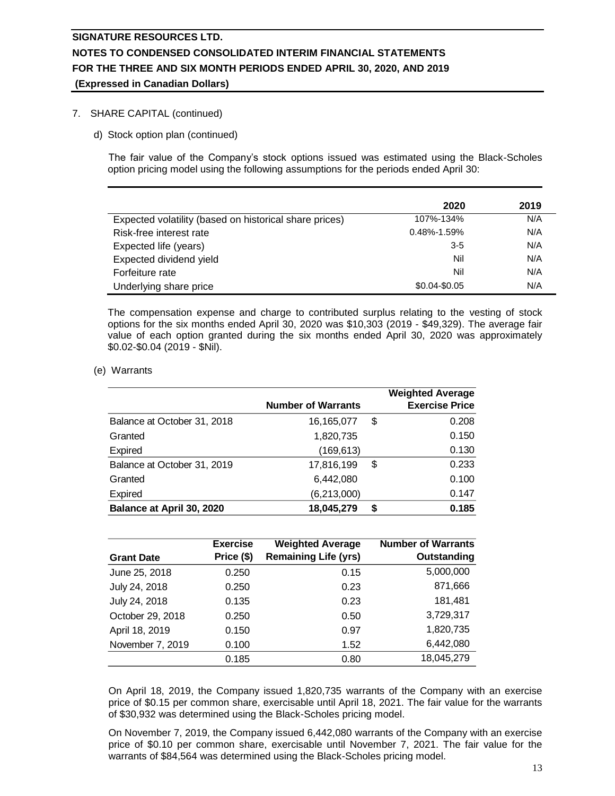#### 7. SHARE CAPITAL (continued)

d) Stock option plan (continued)

The fair value of the Company's stock options issued was estimated using the Black-Scholes option pricing model using the following assumptions for the periods ended April 30:

|                                                        | 2020              | 2019 |
|--------------------------------------------------------|-------------------|------|
| Expected volatility (based on historical share prices) | 107%-134%         | N/A  |
| Risk-free interest rate                                | $0.48\% - 1.59\%$ | N/A  |
| Expected life (years)                                  | $3 - 5$           | N/A  |
| Expected dividend yield                                | Nil               | N/A  |
| Forfeiture rate                                        | Nil               | N/A  |
| Underlying share price                                 | \$0.04-\$0.05     | N/A  |

The compensation expense and charge to contributed surplus relating to the vesting of stock options for the six months ended April 30, 2020 was \$10,303 (2019 - \$49,329). The average fair value of each option granted during the six months ended April 30, 2020 was approximately \$0.02-\$0.04 (2019 - \$Nil).

(e) Warrants

|                             |                           | <b>Weighted Average</b> |
|-----------------------------|---------------------------|-------------------------|
|                             | <b>Number of Warrants</b> | <b>Exercise Price</b>   |
| Balance at October 31, 2018 | 16,165,077                | \$<br>0.208             |
| Granted                     | 1,820,735                 | 0.150                   |
| <b>Expired</b>              | (169, 613)                | 0.130                   |
| Balance at October 31, 2019 | 17,816,199                | \$<br>0.233             |
| Granted                     | 6,442,080                 | 0.100                   |
| <b>Expired</b>              | (6, 213, 000)             | 0.147                   |
| Balance at April 30, 2020   | 18,045,279                | \$<br>0.185             |

| <b>Grant Date</b> | <b>Exercise</b><br>Price (\$) | <b>Weighted Average</b><br><b>Remaining Life (yrs)</b> | <b>Number of Warrants</b><br>Outstanding |
|-------------------|-------------------------------|--------------------------------------------------------|------------------------------------------|
| June 25, 2018     | 0.250                         | 0.15                                                   | 5,000,000                                |
| July 24, 2018     | 0.250                         | 0.23                                                   | 871,666                                  |
| July 24, 2018     | 0.135                         | 0.23                                                   | 181,481                                  |
| October 29, 2018  | 0.250                         | 0.50                                                   | 3,729,317                                |
| April 18, 2019    | 0.150                         | 0.97                                                   | 1,820,735                                |
| November 7, 2019  | 0.100                         | 1.52                                                   | 6,442,080                                |
|                   | 0.185                         | 0.80                                                   | 18,045,279                               |

On April 18, 2019, the Company issued 1,820,735 warrants of the Company with an exercise price of \$0.15 per common share, exercisable until April 18, 2021. The fair value for the warrants of \$30,932 was determined using the Black-Scholes pricing model.

On November 7, 2019, the Company issued 6,442,080 warrants of the Company with an exercise price of \$0.10 per common share, exercisable until November 7, 2021. The fair value for the warrants of \$84,564 was determined using the Black-Scholes pricing model.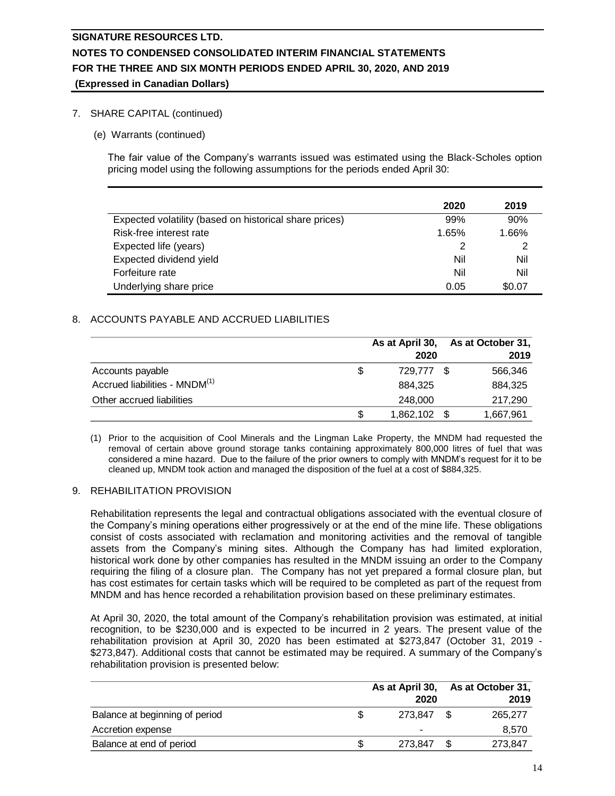#### 7. SHARE CAPITAL (continued)

(e) Warrants (continued)

The fair value of the Company's warrants issued was estimated using the Black-Scholes option pricing model using the following assumptions for the periods ended April 30:

|                                                        | 2020  | 2019   |
|--------------------------------------------------------|-------|--------|
| Expected volatility (based on historical share prices) | 99%   | 90%    |
| Risk-free interest rate                                | 1.65% | 1.66%  |
| Expected life (years)                                  |       |        |
| Expected dividend yield                                | Nil   | Nil    |
| Forfeiture rate                                        | Nil   | Nil    |
| Underlying share price                                 | 0.05  | \$0.07 |

#### 8. ACCOUNTS PAYABLE AND ACCRUED LIABILITIES

|                                           |   | As at April 30,<br>2020 | As at October 31,<br>2019 |
|-------------------------------------------|---|-------------------------|---------------------------|
| Accounts payable                          | S | 729,777 \$              | 566.346                   |
| Accrued liabilities - MNDM <sup>(1)</sup> |   | 884.325                 | 884,325                   |
| Other accrued liabilities                 |   | 248,000                 | 217,290                   |
|                                           |   | 1,862,102 \$            | 1,667,961                 |

(1) Prior to the acquisition of Cool Minerals and the Lingman Lake Property, the MNDM had requested the removal of certain above ground storage tanks containing approximately 800,000 litres of fuel that was considered a mine hazard. Due to the failure of the prior owners to comply with MNDM's request for it to be cleaned up, MNDM took action and managed the disposition of the fuel at a cost of \$884,325.

#### 9. REHABILITATION PROVISION

Rehabilitation represents the legal and contractual obligations associated with the eventual closure of the Company's mining operations either progressively or at the end of the mine life. These obligations consist of costs associated with reclamation and monitoring activities and the removal of tangible assets from the Company's mining sites. Although the Company has had limited exploration, historical work done by other companies has resulted in the MNDM issuing an order to the Company requiring the filing of a closure plan. The Company has not yet prepared a formal closure plan, but has cost estimates for certain tasks which will be required to be completed as part of the request from MNDM and has hence recorded a rehabilitation provision based on these preliminary estimates.

At April 30, 2020, the total amount of the Company's rehabilitation provision was estimated, at initial recognition, to be \$230,000 and is expected to be incurred in 2 years. The present value of the rehabilitation provision at April 30, 2020 has been estimated at \$273,847 (October 31, 2019 - \$273,847). Additional costs that cannot be estimated may be required. A summary of the Company's rehabilitation provision is presented below:

|                                |         |  | As at April 30, As at October 31, |
|--------------------------------|---------|--|-----------------------------------|
|                                | 2020    |  | 2019                              |
| Balance at beginning of period | 273.847 |  | 265,277                           |
| Accretion expense              |         |  | 8.570                             |
| Balance at end of period       | 273.847 |  | 273.847                           |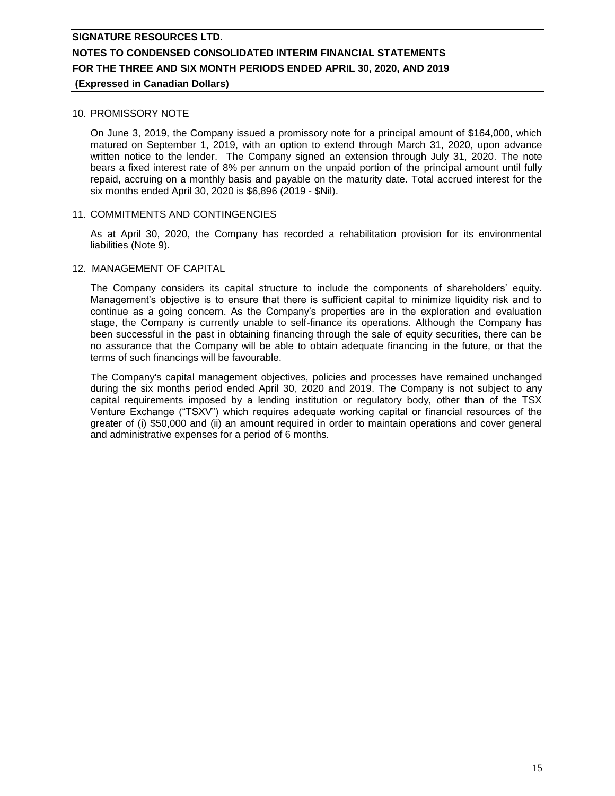#### 10. PROMISSORY NOTE

On June 3, 2019, the Company issued a promissory note for a principal amount of \$164,000, which matured on September 1, 2019, with an option to extend through March 31, 2020, upon advance written notice to the lender. The Company signed an extension through July 31, 2020. The note bears a fixed interest rate of 8% per annum on the unpaid portion of the principal amount until fully repaid, accruing on a monthly basis and payable on the maturity date. Total accrued interest for the six months ended April 30, 2020 is \$6,896 (2019 - \$Nil).

#### 11. COMMITMENTS AND CONTINGENCIES

As at April 30, 2020, the Company has recorded a rehabilitation provision for its environmental liabilities (Note 9).

#### 12. MANAGEMENT OF CAPITAL

The Company considers its capital structure to include the components of shareholders' equity. Management's objective is to ensure that there is sufficient capital to minimize liquidity risk and to continue as a going concern. As the Company's properties are in the exploration and evaluation stage, the Company is currently unable to self-finance its operations. Although the Company has been successful in the past in obtaining financing through the sale of equity securities, there can be no assurance that the Company will be able to obtain adequate financing in the future, or that the terms of such financings will be favourable.

The Company's capital management objectives, policies and processes have remained unchanged during the six months period ended April 30, 2020 and 2019. The Company is not subject to any capital requirements imposed by a lending institution or regulatory body, other than of the TSX Venture Exchange ("TSXV") which requires adequate working capital or financial resources of the greater of (i) \$50,000 and (ii) an amount required in order to maintain operations and cover general and administrative expenses for a period of 6 months.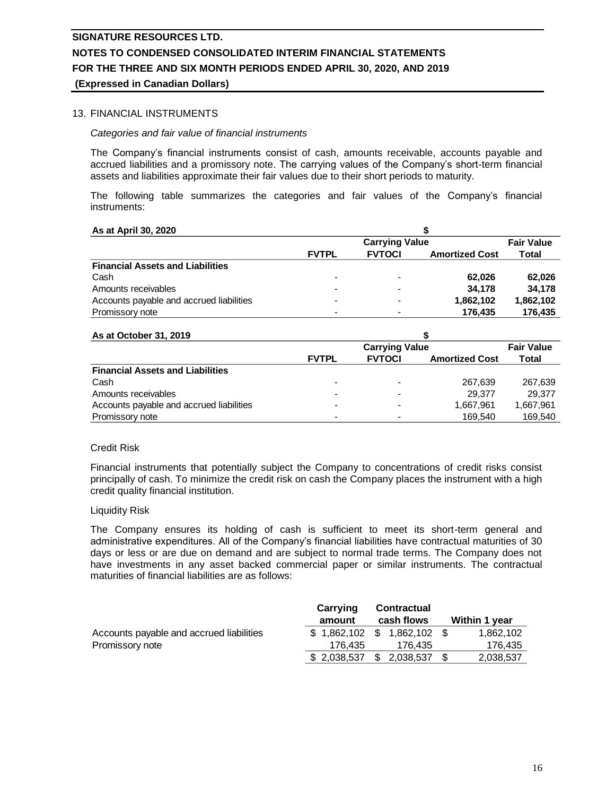# 13. FINANCIAL INSTRUMENTS

#### *Categories and fair value of financial instruments*

The Company's financial instruments consist of cash, amounts receivable, accounts payable and accrued liabilities and a promissory note. The carrying values of the Company's short-term financial assets and liabilities approximate their fair values due to their short periods to maturity.

The following table summarizes the categories and fair values of the Company's financial instruments:

| As at April 30, 2020                     |                |                   |                       |           |
|------------------------------------------|----------------|-------------------|-----------------------|-----------|
|                                          |                | <b>Fair Value</b> |                       |           |
|                                          | <b>FVTPL</b>   | <b>FVTOCI</b>     | <b>Amortized Cost</b> | Total     |
| <b>Financial Assets and Liabilities</b>  |                |                   |                       |           |
| Cash                                     | $\blacksquare$ | -                 | 62.026                | 62.026    |
| Amounts receivables                      | -              |                   | 34.178                | 34.178    |
| Accounts payable and accrued liabilities | -              |                   | 1,862,102             | 1,862,102 |
| Promissory note                          |                |                   | 176.435               | 176.435   |

#### **As at October 31, 2019**

| AS at October 91, 2019                   |              |                       |                       |           |
|------------------------------------------|--------------|-----------------------|-----------------------|-----------|
|                                          |              | <b>Carrying Value</b> |                       |           |
|                                          | <b>FVTPL</b> | <b>FVTOCI</b>         | <b>Amortized Cost</b> | Total     |
| <b>Financial Assets and Liabilities</b>  |              |                       |                       |           |
| Cash                                     |              |                       | 267.639               | 267,639   |
| Amounts receivables                      |              |                       | 29.377                | 29.377    |
| Accounts payable and accrued liabilities |              |                       | 1,667,961             | 1,667,961 |
| Promissory note                          |              |                       | 169.540               | 169.540   |

**\$**

#### Credit Risk

Financial instruments that potentially subject the Company to concentrations of credit risks consist principally of cash. To minimize the credit risk on cash the Company places the instrument with a high credit quality financial institution.

#### Liquidity Risk

The Company ensures its holding of cash is sufficient to meet its short-term general and administrative expenditures. All of the Company's financial liabilities have contractual maturities of 30 days or less or are due on demand and are subject to normal trade terms. The Company does not have investments in any asset backed commercial paper or similar instruments. The contractual maturities of financial liabilities are as follows:

|                                          | Carrying                   | <b>Contractual</b> |                 |                      |
|------------------------------------------|----------------------------|--------------------|-----------------|----------------------|
|                                          | amount                     |                    | cash flows      | <b>Within 1 year</b> |
| Accounts payable and accrued liabilities | \$1,862,102 \$1,862,102 \$ |                    |                 | 1.862.102            |
| Promissory note                          | 176.435                    |                    | 176.435         | 176.435              |
|                                          | \$ 2,038,537               |                    | $$2,038,537$ \$ | 2,038,537            |